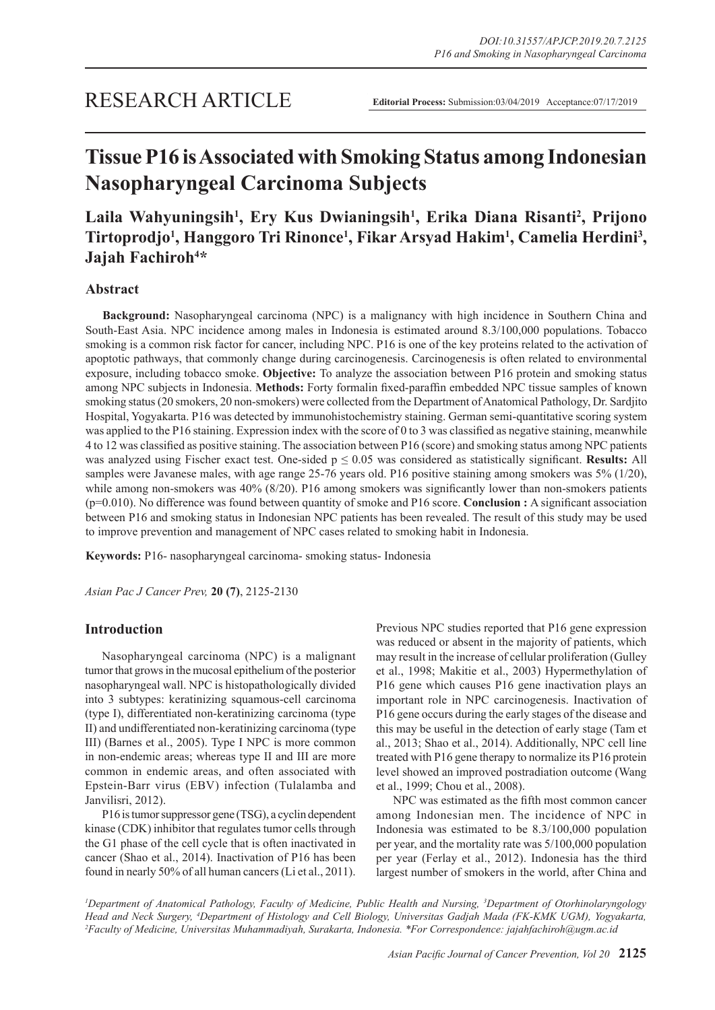# **Tissue P16 is Associated with Smoking Status among Indonesian Nasopharyngeal Carcinoma Subjects**

## **Laila Wahyuningsih1 , Ery Kus Dwianingsih1 , Erika Diana Risanti2 , Prijono Tirtoprodjo1 , Hanggoro Tri Rinonce1 , Fikar Arsyad Hakim1 , Camelia Herdini3 , Jajah Fachiroh4 \***

## **Abstract**

**Background:** Nasopharyngeal carcinoma (NPC) is a malignancy with high incidence in Southern China and South-East Asia. NPC incidence among males in Indonesia is estimated around 8.3/100,000 populations. Tobacco smoking is a common risk factor for cancer, including NPC. P16 is one of the key proteins related to the activation of apoptotic pathways, that commonly change during carcinogenesis. Carcinogenesis is often related to environmental exposure, including tobacco smoke. **Objective:** To analyze the association between P16 protein and smoking status among NPC subjects in Indonesia. **Methods:** Forty formalin fixed-paraffin embedded NPC tissue samples of known smoking status (20 smokers, 20 non-smokers) were collected from the Department of Anatomical Pathology, Dr. Sardjito Hospital, Yogyakarta. P16 was detected by immunohistochemistry staining. German semi-quantitative scoring system was applied to the P16 staining. Expression index with the score of 0 to 3 was classified as negative staining, meanwhile 4 to 12 was classified as positive staining. The association between P16 (score) and smoking status among NPC patients was analyzed using Fischer exact test. One-sided p ≤ 0.05 was considered as statistically significant. **Results:** All samples were Javanese males, with age range 25-76 years old. P16 positive staining among smokers was 5% (1/20), while among non-smokers was 40% (8/20). P16 among smokers was significantly lower than non-smokers patients (p=0.010). No difference was found between quantity of smoke and P16 score. **Conclusion :** A significant association between P16 and smoking status in Indonesian NPC patients has been revealed. The result of this study may be used to improve prevention and management of NPC cases related to smoking habit in Indonesia.

**Keywords:** P16- nasopharyngeal carcinoma- smoking status- Indonesia

*Asian Pac J Cancer Prev,* **20 (7)**, 2125-2130

## **Introduction**

Nasopharyngeal carcinoma (NPC) is a malignant tumor that grows in the mucosal epithelium of the posterior nasopharyngeal wall. NPC is histopathologically divided into 3 subtypes: keratinizing squamous-cell carcinoma (type I), differentiated non-keratinizing carcinoma (type II) and undifferentiated non-keratinizing carcinoma (type III) (Barnes et al., 2005). Type I NPC is more common in non-endemic areas; whereas type II and III are more common in endemic areas, and often associated with Epstein-Barr virus (EBV) infection (Tulalamba and Janvilisri, 2012).

P16 is tumor suppressor gene (TSG), a cyclin dependent kinase (CDK) inhibitor that regulates tumor cells through the G1 phase of the cell cycle that is often inactivated in cancer (Shao et al., 2014). Inactivation of P16 has been found in nearly 50% of all human cancers (Li et al., 2011). Previous NPC studies reported that P16 gene expression was reduced or absent in the majority of patients, which may result in the increase of cellular proliferation (Gulley et al., 1998; Makitie et al., 2003) Hypermethylation of P16 gene which causes P16 gene inactivation plays an important role in NPC carcinogenesis. Inactivation of P16 gene occurs during the early stages of the disease and this may be useful in the detection of early stage (Tam et al., 2013; Shao et al., 2014). Additionally, NPC cell line treated with P16 gene therapy to normalize its P16 protein level showed an improved postradiation outcome (Wang et al., 1999; Chou et al., 2008).

NPC was estimated as the fifth most common cancer among Indonesian men. The incidence of NPC in Indonesia was estimated to be 8.3/100,000 population per year, and the mortality rate was 5/100,000 population per year (Ferlay et al., 2012). Indonesia has the third largest number of smokers in the world, after China and

*1 Department of Anatomical Pathology, Faculty of Medicine, Public Health and Nursing, 3 Department of Otorhinolaryngology Head and Neck Surgery, 4 Department of Histology and Cell Biology, Universitas Gadjah Mada (FK-KMK UGM), Yogyakarta, 2 Faculty of Medicine, Universitas Muhammadiyah, Surakarta, Indonesia. \*For Correspondence: jajahfachiroh@ugm.ac.id*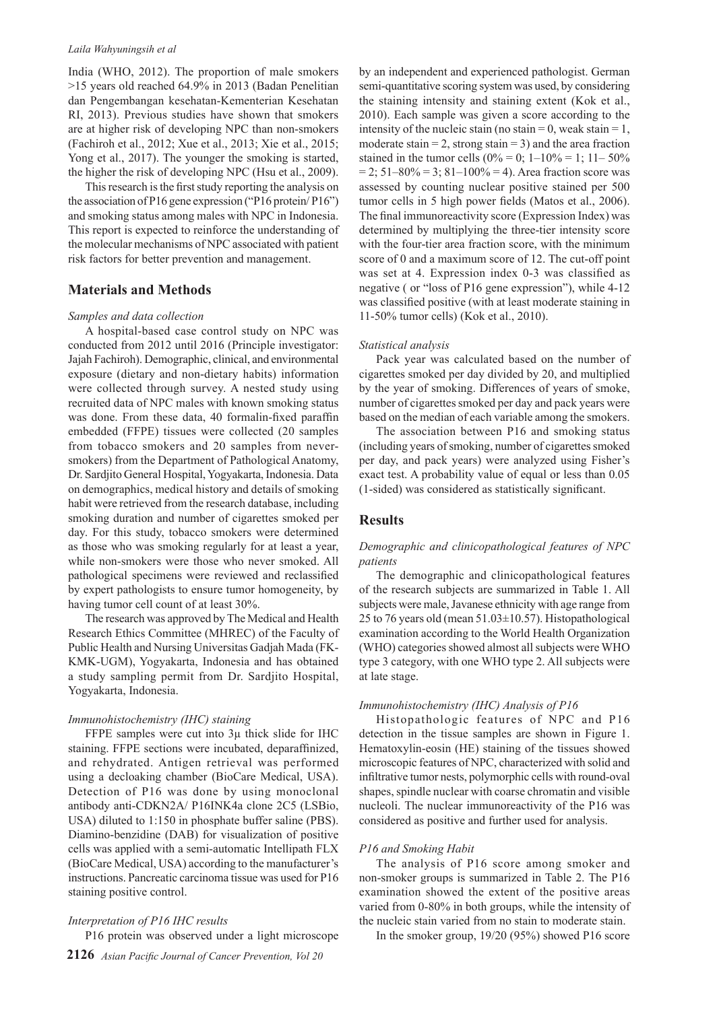#### *Laila Wahyuningsih et al*

India (WHO, 2012). The proportion of male smokers >15 years old reached 64.9% in 2013 (Badan Penelitian dan Pengembangan kesehatan-Kementerian Kesehatan RI, 2013). Previous studies have shown that smokers are at higher risk of developing NPC than non-smokers (Fachiroh et al., 2012; Xue et al., 2013; Xie et al., 2015; Yong et al., 2017). The younger the smoking is started, the higher the risk of developing NPC (Hsu et al., 2009).

This research is the first study reporting the analysis on the association of P16 gene expression ("P16 protein/ P16") and smoking status among males with NPC in Indonesia. This report is expected to reinforce the understanding of the molecular mechanisms of NPC associated with patient risk factors for better prevention and management.

## **Materials and Methods**

#### *Samples and data collection*

A hospital-based case control study on NPC was conducted from 2012 until 2016 (Principle investigator: Jajah Fachiroh). Demographic, clinical, and environmental exposure (dietary and non-dietary habits) information were collected through survey. A nested study using recruited data of NPC males with known smoking status was done. From these data, 40 formalin-fixed paraffin embedded (FFPE) tissues were collected (20 samples from tobacco smokers and 20 samples from neversmokers) from the Department of Pathological Anatomy, Dr. Sardjito General Hospital, Yogyakarta, Indonesia. Data on demographics, medical history and details of smoking habit were retrieved from the research database, including smoking duration and number of cigarettes smoked per day. For this study, tobacco smokers were determined as those who was smoking regularly for at least a year, while non-smokers were those who never smoked. All pathological specimens were reviewed and reclassified by expert pathologists to ensure tumor homogeneity, by having tumor cell count of at least 30%.

The research was approved by The Medical and Health Research Ethics Committee (MHREC) of the Faculty of Public Health and Nursing Universitas Gadjah Mada (FK-KMK-UGM), Yogyakarta, Indonesia and has obtained a study sampling permit from Dr. Sardjito Hospital, Yogyakarta, Indonesia.

#### *Immunohistochemistry (IHC) staining*

FFPE samples were cut into 3µ thick slide for IHC staining. FFPE sections were incubated, deparaffinized, and rehydrated. Antigen retrieval was performed using a decloaking chamber (BioCare Medical, USA). Detection of P16 was done by using monoclonal antibody anti-CDKN2A/ P16INK4a clone 2C5 (LSBio, USA) diluted to 1:150 in phosphate buffer saline (PBS). Diamino-benzidine (DAB) for visualization of positive cells was applied with a semi-automatic Intellipath FLX (BioCare Medical, USA) according to the manufacturer's instructions. Pancreatic carcinoma tissue was used for P16 staining positive control.

#### *Interpretation of P16 IHC results*

P16 protein was observed under a light microscope

by an independent and experienced pathologist. German semi-quantitative scoring system was used, by considering the staining intensity and staining extent (Kok et al., 2010). Each sample was given a score according to the intensity of the nucleic stain (no stain = 0, weak stain = 1, moderate stain  $= 2$ , strong stain  $= 3$ ) and the area fraction stained in the tumor cells  $(0\% = 0; 1 - 10\% = 1; 11 - 50\%$  $= 2$ ; 51–80% = 3; 81–100% = 4). Area fraction score was assessed by counting nuclear positive stained per 500 tumor cells in 5 high power fields (Matos et al., 2006). The final immunoreactivity score (Expression Index) was determined by multiplying the three-tier intensity score with the four-tier area fraction score, with the minimum score of 0 and a maximum score of 12. The cut-off point was set at 4. Expression index 0-3 was classified as negative ( or "loss of P16 gene expression"), while 4-12 was classified positive (with at least moderate staining in 11-50% tumor cells) (Kok et al., 2010).

#### *Statistical analysis*

Pack year was calculated based on the number of cigarettes smoked per day divided by 20, and multiplied by the year of smoking. Differences of years of smoke, number of cigarettes smoked per day and pack years were based on the median of each variable among the smokers.

The association between P16 and smoking status (including years of smoking, number of cigarettes smoked per day, and pack years) were analyzed using Fisher's exact test. A probability value of equal or less than 0.05 (1-sided) was considered as statistically significant.

#### **Results**

## *Demographic and clinicopathological features of NPC patients*

The demographic and clinicopathological features of the research subjects are summarized in Table 1. All subjects were male, Javanese ethnicity with age range from 25 to 76 years old (mean  $51.03 \pm 10.57$ ). Histopathological examination according to the World Health Organization (WHO) categories showed almost all subjects were WHO type 3 category, with one WHO type 2. All subjects were at late stage.

#### *Immunohistochemistry (IHC) Analysis of P16*

Histopathologic features of NPC and P16 detection in the tissue samples are shown in Figure 1. Hematoxylin-eosin (HE) staining of the tissues showed microscopic features of NPC, characterized with solid and infiltrative tumor nests, polymorphic cells with round-oval shapes, spindle nuclear with coarse chromatin and visible nucleoli. The nuclear immunoreactivity of the P16 was considered as positive and further used for analysis.

#### *P16 and Smoking Habit*

The analysis of P16 score among smoker and non-smoker groups is summarized in Table 2. The P16 examination showed the extent of the positive areas varied from 0-80% in both groups, while the intensity of the nucleic stain varied from no stain to moderate stain.

In the smoker group, 19/20 (95%) showed P16 score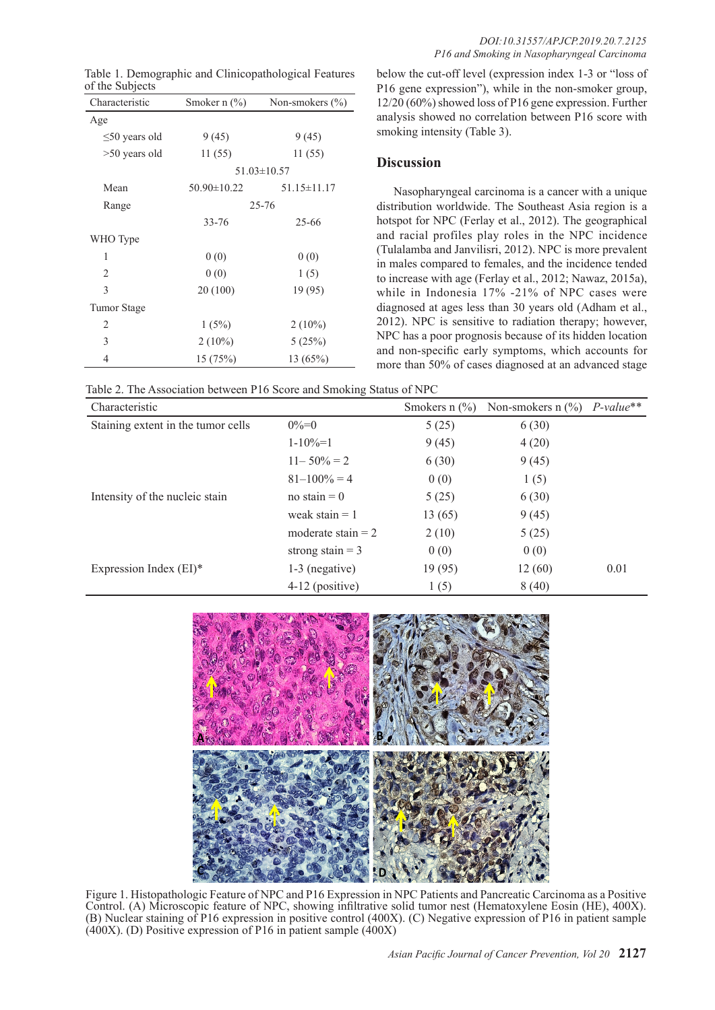| of the Subjects     |                  | Table 1. Demographic and Clinicopathological Features |  |
|---------------------|------------------|-------------------------------------------------------|--|
| Characteristic      | Smoker n $(\% )$ | Non-smokers $(\% )$                                   |  |
| Age                 |                  |                                                       |  |
| $\leq 50$ years old | 9(45)            | 9(45)                                                 |  |
| $>50$ years old     | 11(55)           | 11 (55)                                               |  |
|                     |                  | $51.03 \pm 10.57$                                     |  |
| Mean                | 50.90±10.22      | $51.15 \pm 11.17$                                     |  |
| Range               | $25 - 76$        |                                                       |  |
|                     | 33-76            | 25-66                                                 |  |
| WHO Type            |                  |                                                       |  |
| 1                   | 0(0)             | 0(0)                                                  |  |
| 2                   | 0(0)             | 1(5)                                                  |  |
| 3                   | 20(100)          | 19(95)                                                |  |
| Tumor Stage         |                  |                                                       |  |
| 2                   | 1(5%)            | $2(10\%)$                                             |  |
| 3                   | $2(10\%)$        | 5(25%)                                                |  |
| 4                   | 15 (75%)         | 13(65%)                                               |  |

below the cut-off level (expression index 1-3 or "loss of P16 gene expression"), while in the non-smoker group, 12/20 (60%) showed loss of P16 gene expression. Further analysis showed no correlation between P16 score with smoking intensity (Table 3).

## **Discussion**

Nasopharyngeal carcinoma is a cancer with a unique distribution worldwide. The Southeast Asia region is a hotspot for NPC (Ferlay et al., 2012). The geographical and racial profiles play roles in the NPC incidence (Tulalamba and Janvilisri, 2012). NPC is more prevalent in males compared to females, and the incidence tended to increase with age (Ferlay et al., 2012; Nawaz, 2015a), while in Indonesia 17% -21% of NPC cases were diagnosed at ages less than 30 years old (Adham et al., 2012). NPC is sensitive to radiation therapy; however, NPC has a poor prognosis because of its hidden location and non-specific early symptoms, which accounts for more than 50% of cases diagnosed at an advanced stage

Table 2. The Association between P16 Score and Smoking Status of NPC

| Characteristic                     |                      | Smokers $n$ $\frac{6}{6}$ | Non-smokers $n \binom{0}{0}$ <i>P-value</i> ** |      |
|------------------------------------|----------------------|---------------------------|------------------------------------------------|------|
| Staining extent in the tumor cells | $0\% = 0$            | 5(25)                     | 6(30)                                          |      |
|                                    | $1-10\% = 1$         | 9(45)                     | 4(20)                                          |      |
|                                    | $11 - 50\% = 2$      | 6(30)                     | 9(45)                                          |      |
|                                    | $81 - 100\% = 4$     | 0(0)                      | 1(5)                                           |      |
| Intensity of the nucleic stain     | no stain $= 0$       | 5(25)                     | 6(30)                                          |      |
|                                    | weak stain $= 1$     | 13(65)                    | 9(45)                                          |      |
|                                    | moderate stain $= 2$ | 2(10)                     | 5(25)                                          |      |
|                                    | strong stain $=$ 3   | 0(0)                      | 0(0)                                           |      |
| Expression Index $(EI)^*$          | $1-3$ (negative)     | 19(95)                    | 12(60)                                         | 0.01 |
|                                    | $4-12$ (positive)    | 1(5)                      | 8(40)                                          |      |



Figure 1. Histopathologic Feature of NPC and P16 Expression in NPC Patients and Pancreatic Carcinoma as a Positive Control. (A) Microscopic feature of NPC, showing infiltrative solid tumor nest (Hematoxylene Eosin (HE), 400X). (B) Nuclear staining of P16 expression in positive control (400X). (C) Negative expression of P16 in patient sample (400X). (D) Positive expression of P16 in patient sample (400X)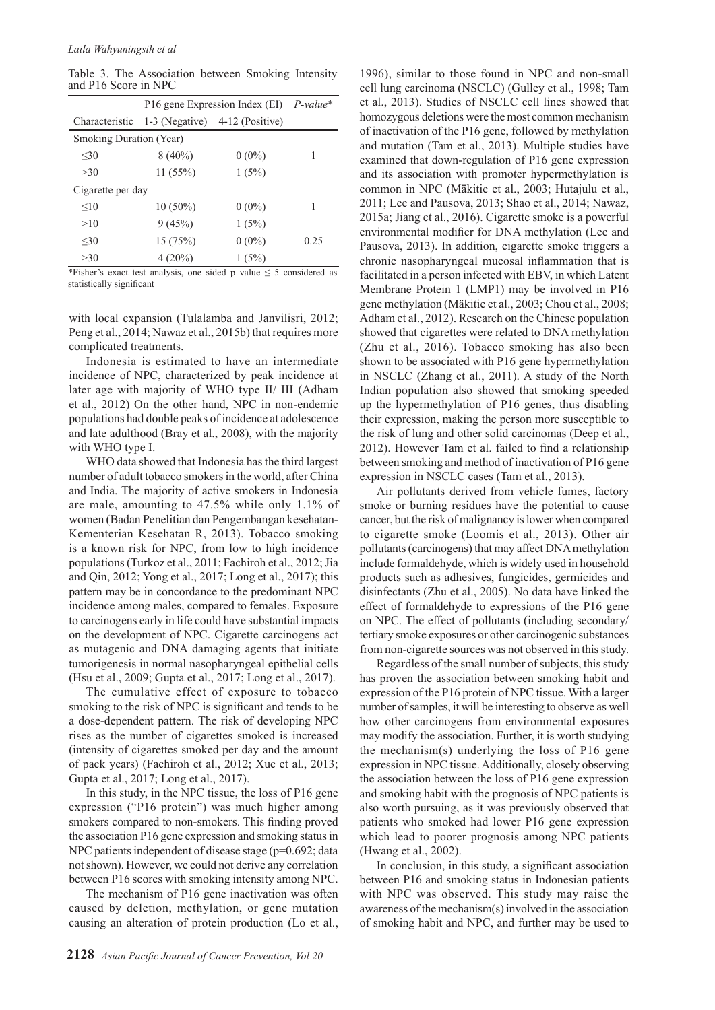Table 3. The Association between Smoking Intensity and P16 Score in NPC

|                         | P16 gene Expression Index (EI) P-value* |                                  |      |
|-------------------------|-----------------------------------------|----------------------------------|------|
| Characteristic          |                                         | 1-3 (Negative) $4-12$ (Positive) |      |
| Smoking Duration (Year) |                                         |                                  |      |
| <30                     | $8(40\%)$                               | $0(0\%)$                         | 1    |
| >30                     | 11(55%)                                 | 1(5%)                            |      |
| Cigarette per day       |                                         |                                  |      |
| <10                     | $10(50\%)$                              | $0(0\%)$                         | 1    |
| >10                     | 9(45%)                                  | 1(5%)                            |      |
| $30$                    | 15(75%)                                 | $0(0\%)$                         | 0.25 |
| >30                     | $4(20\%)$                               | 1(5%)                            |      |

\*Fisher's exact test analysis, one sided p value  $\leq$  5 considered as statistically significant

with local expansion (Tulalamba and Janvilisri, 2012; Peng et al., 2014; Nawaz et al., 2015b) that requires more complicated treatments.

Indonesia is estimated to have an intermediate incidence of NPC, characterized by peak incidence at later age with majority of WHO type II/ III (Adham et al., 2012) On the other hand, NPC in non-endemic populations had double peaks of incidence at adolescence and late adulthood (Bray et al., 2008), with the majority with WHO type I.

WHO data showed that Indonesia has the third largest number of adult tobacco smokers in the world, after China and India. The majority of active smokers in Indonesia are male, amounting to 47.5% while only 1.1% of women (Badan Penelitian dan Pengembangan kesehatan-Kementerian Kesehatan R, 2013). Tobacco smoking is a known risk for NPC, from low to high incidence populations (Turkoz et al., 2011; Fachiroh et al., 2012; Jia and Qin, 2012; Yong et al., 2017; Long et al., 2017); this pattern may be in concordance to the predominant NPC incidence among males, compared to females. Exposure to carcinogens early in life could have substantial impacts on the development of NPC. Cigarette carcinogens act as mutagenic and DNA damaging agents that initiate tumorigenesis in normal nasopharyngeal epithelial cells (Hsu et al., 2009; Gupta et al., 2017; Long et al., 2017).

The cumulative effect of exposure to tobacco smoking to the risk of NPC is significant and tends to be a dose-dependent pattern. The risk of developing NPC rises as the number of cigarettes smoked is increased (intensity of cigarettes smoked per day and the amount of pack years) (Fachiroh et al., 2012; Xue et al., 2013; Gupta et al., 2017; Long et al., 2017).

In this study, in the NPC tissue, the loss of P16 gene expression ("P16 protein") was much higher among smokers compared to non-smokers. This finding proved the association P16 gene expression and smoking status in NPC patients independent of disease stage (p=0.692; data not shown). However, we could not derive any correlation between P16 scores with smoking intensity among NPC.

The mechanism of P16 gene inactivation was often caused by deletion, methylation, or gene mutation causing an alteration of protein production (Lo et al., 1996), similar to those found in NPC and non-small cell lung carcinoma (NSCLC) (Gulley et al., 1998; Tam et al., 2013). Studies of NSCLC cell lines showed that homozygous deletions were the most common mechanism of inactivation of the P16 gene, followed by methylation and mutation (Tam et al., 2013). Multiple studies have examined that down-regulation of P16 gene expression and its association with promoter hypermethylation is common in NPC (Mäkitie et al., 2003; Hutajulu et al., 2011; Lee and Pausova, 2013; Shao et al., 2014; Nawaz, 2015a; Jiang et al., 2016). Cigarette smoke is a powerful environmental modifier for DNA methylation (Lee and Pausova, 2013). In addition, cigarette smoke triggers a chronic nasopharyngeal mucosal inflammation that is facilitated in a person infected with EBV, in which Latent Membrane Protein 1 (LMP1) may be involved in P16 gene methylation (Mäkitie et al., 2003; Chou et al., 2008; Adham et al., 2012). Research on the Chinese population showed that cigarettes were related to DNA methylation (Zhu et al., 2016). Tobacco smoking has also been shown to be associated with P16 gene hypermethylation in NSCLC (Zhang et al., 2011). A study of the North Indian population also showed that smoking speeded up the hypermethylation of P16 genes, thus disabling their expression, making the person more susceptible to the risk of lung and other solid carcinomas (Deep et al., 2012). However Tam et al. failed to find a relationship between smoking and method of inactivation of P16 gene expression in NSCLC cases (Tam et al., 2013).

Air pollutants derived from vehicle fumes, factory smoke or burning residues have the potential to cause cancer, but the risk of malignancy is lower when compared to cigarette smoke (Loomis et al., 2013). Other air pollutants (carcinogens) that may affect DNA methylation include formaldehyde, which is widely used in household products such as adhesives, fungicides, germicides and disinfectants (Zhu et al., 2005). No data have linked the effect of formaldehyde to expressions of the P16 gene on NPC. The effect of pollutants (including secondary/ tertiary smoke exposures or other carcinogenic substances from non-cigarette sources was not observed in this study.

Regardless of the small number of subjects, this study has proven the association between smoking habit and expression of the P16 protein of NPC tissue. With a larger number of samples, it will be interesting to observe as well how other carcinogens from environmental exposures may modify the association. Further, it is worth studying the mechanism(s) underlying the loss of P16 gene expression in NPC tissue. Additionally, closely observing the association between the loss of P16 gene expression and smoking habit with the prognosis of NPC patients is also worth pursuing, as it was previously observed that patients who smoked had lower P16 gene expression which lead to poorer prognosis among NPC patients (Hwang et al., 2002).

In conclusion, in this study, a significant association between P16 and smoking status in Indonesian patients with NPC was observed. This study may raise the awareness of the mechanism(s) involved in the association of smoking habit and NPC, and further may be used to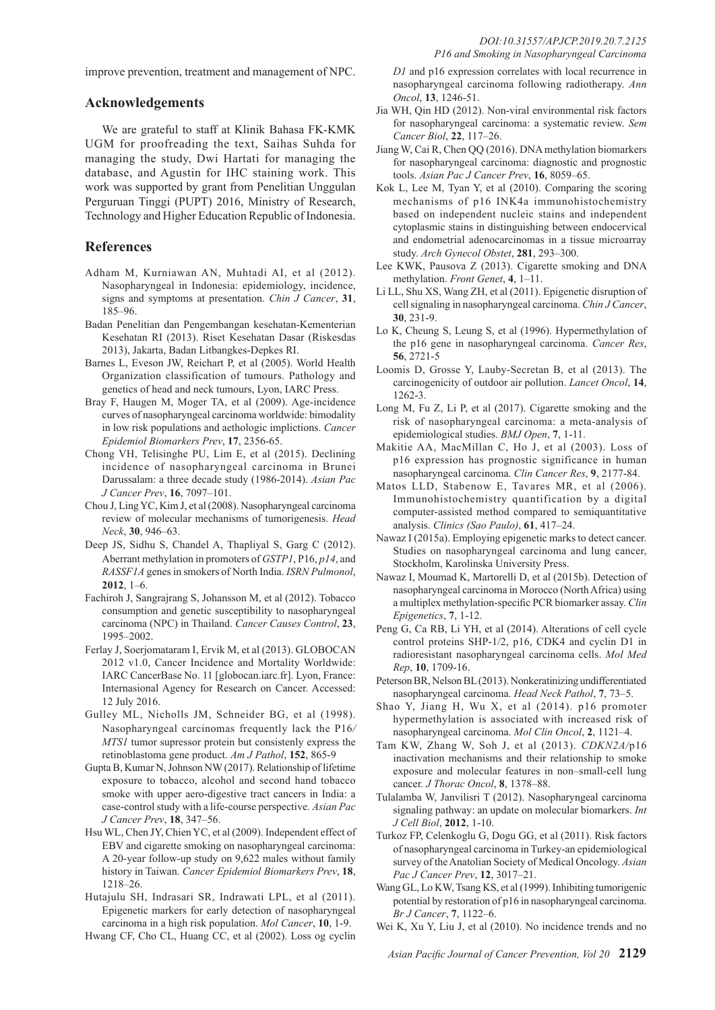improve prevention, treatment and management of NPC.

## **Acknowledgements**

We are grateful to staff at Klinik Bahasa FK-KMK UGM for proofreading the text, Saihas Suhda for managing the study, Dwi Hartati for managing the database, and Agustin for IHC staining work. This work was supported by grant from Penelitian Unggulan Perguruan Tinggi (PUPT) 2016, Ministry of Research, Technology and Higher Education Republic of Indonesia.

## **References**

- Adham M, Kurniawan AN, Muhtadi AI, et al (2012). Nasopharyngeal in Indonesia: epidemiology, incidence, signs and symptoms at presentation. *Chin J Cancer*, **31**, 185–96.
- Badan Penelitian dan Pengembangan kesehatan-Kementerian Kesehatan RI (2013). Riset Kesehatan Dasar (Riskesdas 2013), Jakarta, Badan Litbangkes-Depkes RI.
- Barnes L, Eveson JW, Reichart P, et al (2005). World Health Organization classification of tumours. Pathology and genetics of head and neck tumours, Lyon, IARC Press.
- Bray F, Haugen M, Moger TA, et al (2009). Age-incidence curves of nasopharyngeal carcinoma worldwide: bimodality in low risk populations and aethologic implictions. *Cancer Epidemiol Biomarkers Prev*, **17**, 2356-65.
- Chong VH, Telisinghe PU, Lim E, et al (2015). Declining incidence of nasopharyngeal carcinoma in Brunei Darussalam: a three decade study (1986-2014). *Asian Pac J Cancer Prev*, **16**, 7097–101.
- Chou J, Ling YC, Kim J, et al (2008). Nasopharyngeal carcinoma review of molecular mechanisms of tumorigenesis. *Head Neck*, **30**, 946–63.
- Deep JS, Sidhu S, Chandel A, Thapliyal S, Garg C (2012). Aberrant methylation in promoters of *GSTP1*, P16, *p14*, and *RASSF1A* genes in smokers of North India. *ISRN Pulmonol*, **2012**, 1–6.
- Fachiroh J, Sangrajrang S, Johansson M, et al (2012). Tobacco consumption and genetic susceptibility to nasopharyngeal carcinoma (NPC) in Thailand. *Cancer Causes Control*, **23**, 1995–2002.
- Ferlay J, Soerjomataram I, Ervik M, et al (2013). GLOBOCAN 2012 v1.0, Cancer Incidence and Mortality Worldwide: IARC CancerBase No. 11 [globocan.iarc.fr]. Lyon, France: Internasional Agency for Research on Cancer. Accessed: 12 July 2016.
- Gulley ML, Nicholls JM, Schneider BG, et al (1998). Nasopharyngeal carcinomas frequently lack the P16*/ MTS1* tumor supressor protein but consistenly express the retinoblastoma gene product. *Am J Pathol*, **152**, 865-9
- Gupta B, Kumar N, Johnson NW (2017). Relationship of lifetime exposure to tobacco, alcohol and second hand tobacco smoke with upper aero-digestive tract cancers in India: a case-control study with a life-course perspective. *Asian Pac J Cancer Prev*, **18**, 347–56.
- Hsu WL, Chen JY, Chien YC, et al (2009). Independent effect of EBV and cigarette smoking on nasopharyngeal carcinoma: A 20-year follow-up study on 9,622 males without family history in Taiwan. *Cancer Epidemiol Biomarkers Prev*, **18**, 1218–26.
- Hutajulu SH, Indrasari SR, Indrawati LPL, et al (2011). Epigenetic markers for early detection of nasopharyngeal carcinoma in a high risk population. *Mol Cancer*, **10**, 1-9.
- Hwang CF, Cho CL, Huang CC, et al (2002). Loss og cyclin

*D1* and p16 expression correlates with local recurrence in nasopharyngeal carcinoma following radiotherapy. *Ann Oncol*, **13**, 1246-51.

- Jia WH, Qin HD (2012). Non-viral environmental risk factors for nasopharyngeal carcinoma: a systematic review. *Sem Cancer Biol*, **22**, 117–26.
- Jiang W, Cai R, Chen QQ (2016). DNA methylation biomarkers for nasopharyngeal carcinoma: diagnostic and prognostic tools. *Asian Pac J Cancer Prev*, **16**, 8059–65.
- Kok L, Lee M, Tyan Y, et al (2010). Comparing the scoring mechanisms of p16 INK4a immunohistochemistry based on independent nucleic stains and independent cytoplasmic stains in distinguishing between endocervical and endometrial adenocarcinomas in a tissue microarray study. *Arch Gynecol Obstet*, **281**, 293–300.
- Lee KWK, Pausova Z (2013). Cigarette smoking and DNA methylation. *Front Genet*, **4**, 1–11.
- Li LL, Shu XS, Wang ZH, et al (2011). Epigenetic disruption of cell signaling in nasopharyngeal carcinoma. *Chin J Cancer*, **30**, 231-9.
- Lo K, Cheung S, Leung S, et al (1996). Hypermethylation of the p16 gene in nasopharyngeal carcinoma. *Cancer Res*, **56**, 2721-5
- Loomis D, Grosse Y, Lauby-Secretan B, et al (2013). The carcinogenicity of outdoor air pollution. *Lancet Oncol*, **14**, 1262-3.
- Long M, Fu Z, Li P, et al (2017). Cigarette smoking and the risk of nasopharyngeal carcinoma: a meta-analysis of epidemiological studies. *BMJ Open*, **7**, 1-11.
- Makitie AA, MacMillan C, Ho J, et al (2003). Loss of p16 expression has prognostic significance in human nasopharyngeal carcinoma. *Clin Cancer Res*, **9**, 2177-84.
- Matos LLD, Stabenow E, Tavares MR, et al (2006). Immunohistochemistry quantification by a digital computer-assisted method compared to semiquantitative analysis. *Clinics (Sao Paulo)*, **61**, 417–24.
- Nawaz I (2015a). Employing epigenetic marks to detect cancer. Studies on nasopharyngeal carcinoma and lung cancer, Stockholm, Karolinska University Press.
- Nawaz I, Moumad K, Martorelli D, et al (2015b). Detection of nasopharyngeal carcinoma in Morocco (North Africa) using a multiplex methylation-specific PCR biomarker assay. *Clin Epigenetics*, **7**, 1-12.
- Peng G, Ca RB, Li YH, et al (2014). Alterations of cell cycle control proteins SHP-1/2, p16, CDK4 and cyclin D1 in radioresistant nasopharyngeal carcinoma cells. *Mol Med Rep*, **10**, 1709-16.
- Peterson BR, Nelson BL (2013). Nonkeratinizing undifferentiated nasopharyngeal carcinoma. *Head Neck Pathol*, **7**, 73–5.
- Shao Y, Jiang H, Wu X, et al (2014). p16 promoter hypermethylation is associated with increased risk of nasopharyngeal carcinoma. *Mol Clin Oncol*, **2**, 1121–4.
- Tam KW, Zhang W, Soh J, et al (2013). *CDKN2A/*p16 inactivation mechanisms and their relationship to smoke exposure and molecular features in non–small-cell lung cancer. *J Thorac Oncol*, **8**, 1378–88.
- Tulalamba W, Janvilisri T (2012). Nasopharyngeal carcinoma signaling pathway: an update on molecular biomarkers. *Int J Cell Biol*, **2012**, 1-10.
- Turkoz FP, Celenkoglu G, Dogu GG, et al (2011). Risk factors of nasopharyngeal carcinoma in Turkey-an epidemiological survey of the Anatolian Society of Medical Oncology. *Asian Pac J Cancer Prev*, **12**, 3017–21.
- Wang GL, Lo KW, Tsang KS, et al (1999). Inhibiting tumorigenic potential by restoration of p16 in nasopharyngeal carcinoma. *Br J Cancer*, **7**, 1122–6.
- Wei K, Xu Y, Liu J, et al (2010). No incidence trends and no